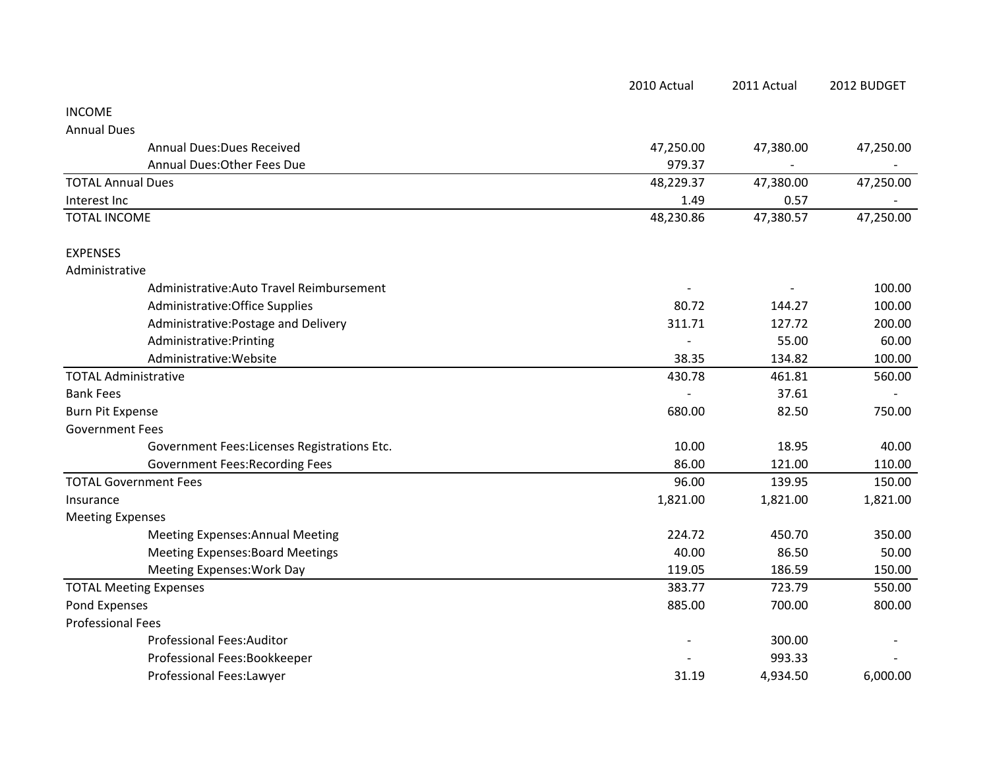|                                              | 2010 Actual | 2011 Actual | 2012 BUDGET |
|----------------------------------------------|-------------|-------------|-------------|
| <b>INCOME</b>                                |             |             |             |
| <b>Annual Dues</b>                           |             |             |             |
| <b>Annual Dues: Dues Received</b>            | 47,250.00   | 47,380.00   | 47,250.00   |
| Annual Dues: Other Fees Due                  | 979.37      |             |             |
| <b>TOTAL Annual Dues</b>                     | 48,229.37   | 47,380.00   | 47,250.00   |
| Interest Inc                                 | 1.49        | 0.57        |             |
| <b>TOTAL INCOME</b>                          | 48,230.86   | 47,380.57   | 47,250.00   |
| <b>EXPENSES</b>                              |             |             |             |
| Administrative                               |             |             |             |
| Administrative: Auto Travel Reimbursement    |             |             | 100.00      |
| Administrative: Office Supplies              | 80.72       | 144.27      | 100.00      |
| Administrative: Postage and Delivery         | 311.71      | 127.72      | 200.00      |
| Administrative: Printing                     |             | 55.00       | 60.00       |
| Administrative: Website                      | 38.35       | 134.82      | 100.00      |
| <b>TOTAL Administrative</b>                  | 430.78      | 461.81      | 560.00      |
| <b>Bank Fees</b>                             |             | 37.61       |             |
| <b>Burn Pit Expense</b>                      | 680.00      | 82.50       | 750.00      |
| <b>Government Fees</b>                       |             |             |             |
| Government Fees: Licenses Registrations Etc. | 10.00       | 18.95       | 40.00       |
| <b>Government Fees: Recording Fees</b>       | 86.00       | 121.00      | 110.00      |
| <b>TOTAL Government Fees</b>                 | 96.00       | 139.95      | 150.00      |
| Insurance                                    | 1,821.00    | 1,821.00    | 1,821.00    |
| <b>Meeting Expenses</b>                      |             |             |             |
| <b>Meeting Expenses: Annual Meeting</b>      | 224.72      | 450.70      | 350.00      |
| <b>Meeting Expenses: Board Meetings</b>      | 40.00       | 86.50       | 50.00       |
| Meeting Expenses: Work Day                   | 119.05      | 186.59      | 150.00      |
| <b>TOTAL Meeting Expenses</b>                | 383.77      | 723.79      | 550.00      |
| Pond Expenses                                | 885.00      | 700.00      | 800.00      |
| <b>Professional Fees</b>                     |             |             |             |
| <b>Professional Fees:Auditor</b>             |             | 300.00      |             |
| Professional Fees:Bookkeeper                 |             | 993.33      |             |
| Professional Fees:Lawyer                     | 31.19       | 4,934.50    | 6,000.00    |